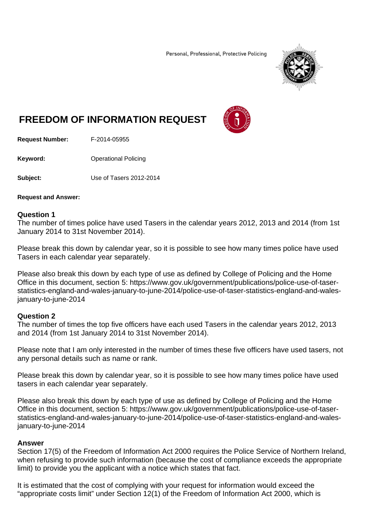Personal, Professional, Protective Policing



## **FREEDOM OF INFORMATION REQUEST**



**Request Number:** F-2014-05955

**Keyword: C**Derational Policing

**Subject:** Use of Tasers 2012-2014

**Request and Answer:** 

## **Question 1**

The number of times police have used Tasers in the calendar years 2012, 2013 and 2014 (from 1st January 2014 to 31st November 2014).

Please break this down by calendar year, so it is possible to see how many times police have used Tasers in each calendar year separately.

Please also break this down by each type of use as defined by College of Policing and the Home Office in this document, section 5: https://www.gov.uk/government/publications/police-use-of-taserstatistics-england-and-wales-january-to-june-2014/police-use-of-taser-statistics-england-and-walesjanuary-to-june-2014

## **Question 2**

The number of times the top five officers have each used Tasers in the calendar years 2012, 2013 and 2014 (from 1st January 2014 to 31st November 2014).

Please note that I am only interested in the number of times these five officers have used tasers, not any personal details such as name or rank.

Please break this down by calendar year, so it is possible to see how many times police have used tasers in each calendar year separately.

Please also break this down by each type of use as defined by College of Policing and the Home Office in this document, section 5: https://www.gov.uk/government/publications/police-use-of-taserstatistics-england-and-wales-january-to-june-2014/police-use-of-taser-statistics-england-and-walesjanuary-to-june-2014

## **Answer**

Section 17(5) of the Freedom of Information Act 2000 requires the Police Service of Northern Ireland, when refusing to provide such information (because the cost of compliance exceeds the appropriate limit) to provide you the applicant with a notice which states that fact.

It is estimated that the cost of complying with your request for information would exceed the "appropriate costs limit" under Section 12(1) of the Freedom of Information Act 2000, which is